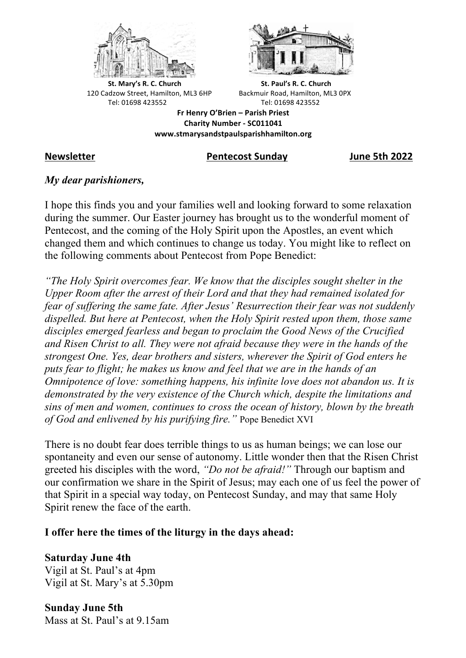



**St.** Mary's R. C. Church St. Paul's R. C. Church 120 Cadzow Street, Hamilton, ML3 6HP Backmuir Road, Hamilton, ML3 0PX Tel: 01698 423552 Tel: 01698 423552

**Fr Henry O'Brien – Parish Priest Charity Number - SC011041 www.stmarysandstpaulsparishhamilton.org**

## **Newsletter Pentecost Sunday June 5th 2022**

## *My dear parishioners,*

I hope this finds you and your families well and looking forward to some relaxation during the summer. Our Easter journey has brought us to the wonderful moment of Pentecost, and the coming of the Holy Spirit upon the Apostles, an event which changed them and which continues to change us today. You might like to reflect on the following comments about Pentecost from Pope Benedict:

*"The Holy Spirit overcomes fear. We know that the disciples sought shelter in the Upper Room after the arrest of their Lord and that they had remained isolated for fear of suffering the same fate. After Jesus' Resurrection their fear was not suddenly dispelled. But here at Pentecost, when the Holy Spirit rested upon them, those same disciples emerged fearless and began to proclaim the Good News of the Crucified and Risen Christ to all. They were not afraid because they were in the hands of the strongest One. Yes, dear brothers and sisters, wherever the Spirit of God enters he puts fear to flight; he makes us know and feel that we are in the hands of an Omnipotence of love: something happens, his infinite love does not abandon us. It is demonstrated by the very existence of the Church which, despite the limitations and sins of men and women, continues to cross the ocean of history, blown by the breath of God and enlivened by his purifying fire."* Pope Benedict XVI

There is no doubt fear does terrible things to us as human beings; we can lose our spontaneity and even our sense of autonomy. Little wonder then that the Risen Christ greeted his disciples with the word, *"Do not be afraid!"* Through our baptism and our confirmation we share in the Spirit of Jesus; may each one of us feel the power of that Spirit in a special way today, on Pentecost Sunday, and may that same Holy Spirit renew the face of the earth.

# **I offer here the times of the liturgy in the days ahead:**

**Saturday June 4th** Vigil at St. Paul's at 4pm Vigil at St. Mary's at 5.30pm

**Sunday June 5th** Mass at St. Paul's at 9.15am